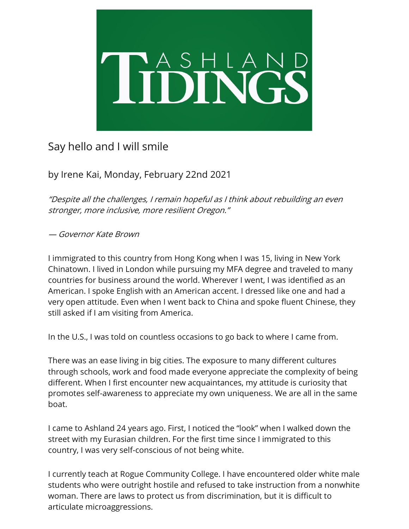

## Say hello and I will smile

by Irene Kai, Monday, February 22nd 2021

"Despite all the challenges, I remain hopeful as I think about rebuilding an even stronger, more inclusive, more resilient Oregon."

## — Governor Kate Brown

I immigrated to this country from Hong Kong when I was 15, living in New York Chinatown. I lived in London while pursuing my MFA degree and traveled to many countries for business around the world. Wherever I went, I was identified as an American. I spoke English with an American accent. I dressed like one and had a very open attitude. Even when I went back to China and spoke fluent Chinese, they still asked if I am visiting from America.

In the U.S., I was told on countless occasions to go back to where I came from.

There was an ease living in big cities. The exposure to many different cultures through schools, work and food made everyone appreciate the complexity of being different. When I first encounter new acquaintances, my attitude is curiosity that promotes self-awareness to appreciate my own uniqueness. We are all in the same boat.

I came to Ashland 24 years ago. First, I noticed the "look" when I walked down the street with my Eurasian children. For the first time since I immigrated to this country, I was very self-conscious of not being white.

I currently teach at Rogue Community College. I have encountered older white male students who were outright hostile and refused to take instruction from a nonwhite woman. There are laws to protect us from discrimination, but it is difficult to articulate microaggressions.